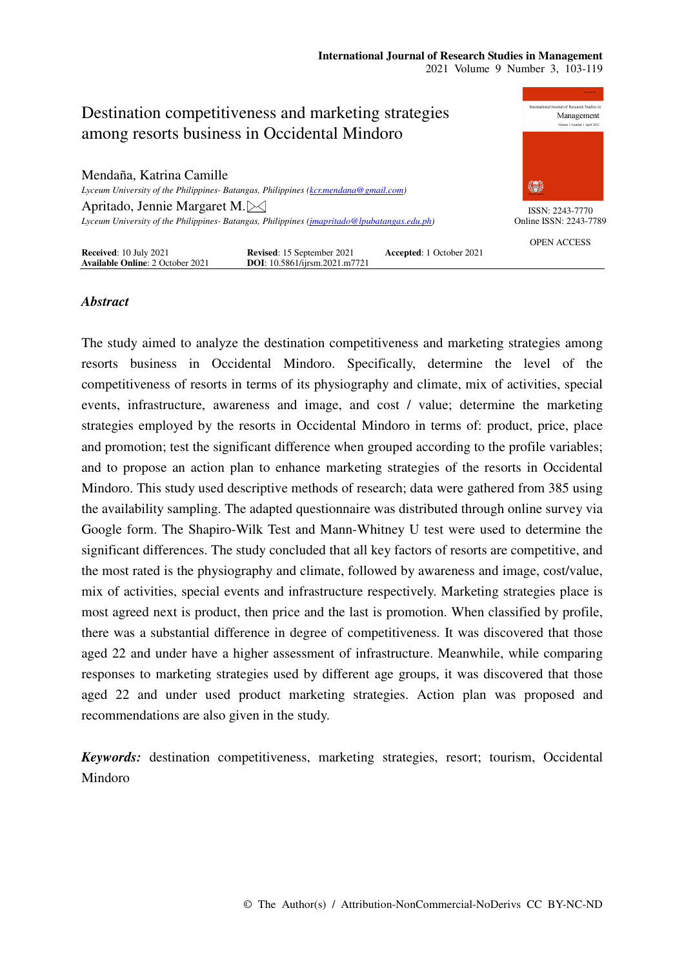#### **International Journal of Research Studies in Management**  2021 Volume 9 Number 3, 103-119



## *Abstract*

The study aimed to analyze the destination competitiveness and marketing strategies among resorts business in Occidental Mindoro. Specifically, determine the level of the competitiveness of resorts in terms of its physiography and climate, mix of activities, special events, infrastructure, awareness and image, and cost / value; determine the marketing strategies employed by the resorts in Occidental Mindoro in terms of: product, price, place and promotion; test the significant difference when grouped according to the profile variables; and to propose an action plan to enhance marketing strategies of the resorts in Occidental Mindoro. This study used descriptive methods of research; data were gathered from 385 using the availability sampling. The adapted questionnaire was distributed through online survey via Google form. The Shapiro-Wilk Test and Mann-Whitney U test were used to determine the significant differences. The study concluded that all key factors of resorts are competitive, and the most rated is the physiography and climate, followed by awareness and image, cost/value, mix of activities, special events and infrastructure respectively. Marketing strategies place is most agreed next is product, then price and the last is promotion. When classified by profile, there was a substantial difference in degree of competitiveness. It was discovered that those aged 22 and under have a higher assessment of infrastructure. Meanwhile, while comparing responses to marketing strategies used by different age groups, it was discovered that those aged 22 and under used product marketing strategies. Action plan was proposed and recommendations are also given in the study.

*Keywords:* destination competitiveness, marketing strategies, resort; tourism, Occidental Mindoro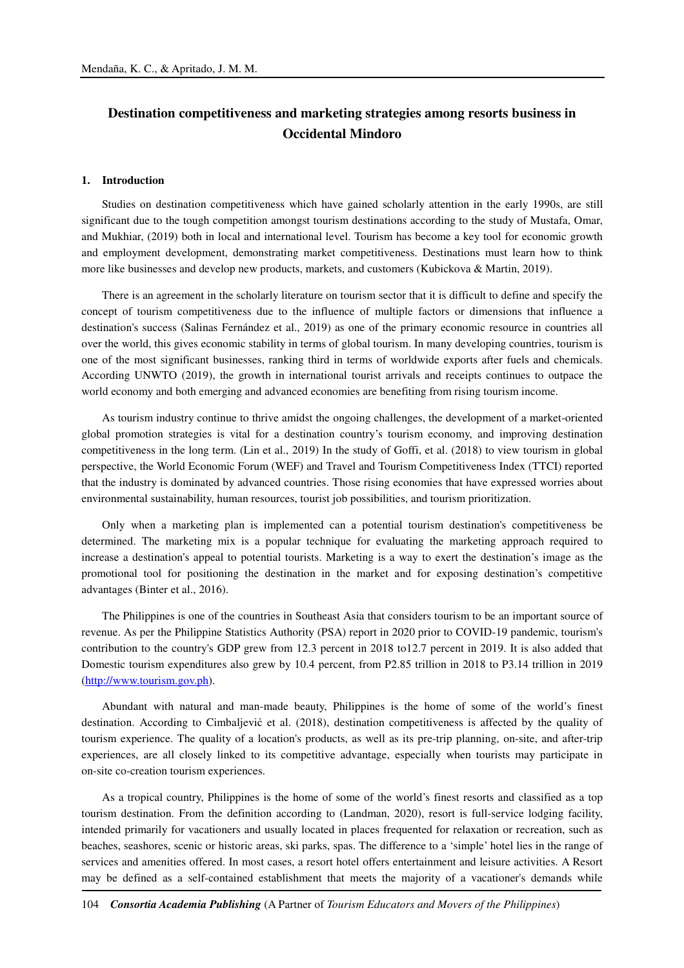## **Destination competitiveness and marketing strategies among resorts business in Occidental Mindoro**

#### **1. Introduction**

Studies on destination competitiveness which have gained scholarly attention in the early 1990s, are still significant due to the tough competition amongst tourism destinations according to the study of Mustafa, Omar, and Mukhiar, (2019) both in local and international level. Tourism has become a key tool for economic growth and employment development, demonstrating market competitiveness. Destinations must learn how to think more like businesses and develop new products, markets, and customers (Kubickova & Martin, 2019).

There is an agreement in the scholarly literature on tourism sector that it is difficult to define and specify the concept of tourism competitiveness due to the influence of multiple factors or dimensions that influence a destination's success (Salinas Fernández et al., 2019) as one of the primary economic resource in countries all over the world, this gives economic stability in terms of global tourism. In many developing countries, tourism is one of the most significant businesses, ranking third in terms of worldwide exports after fuels and chemicals. According UNWTO (2019), the growth in international tourist arrivals and receipts continues to outpace the world economy and both emerging and advanced economies are benefiting from rising tourism income.

As tourism industry continue to thrive amidst the ongoing challenges, the development of a market-oriented global promotion strategies is vital for a destination country's tourism economy, and improving destination competitiveness in the long term. (Lin et al., 2019) In the study of Goffi, et al. (2018) to view tourism in global perspective, the World Economic Forum (WEF) and Travel and Tourism Competitiveness Index (TTCI) reported that the industry is dominated by advanced countries. Those rising economies that have expressed worries about environmental sustainability, human resources, tourist job possibilities, and tourism prioritization.

Only when a marketing plan is implemented can a potential tourism destination's competitiveness be determined. The marketing mix is a popular technique for evaluating the marketing approach required to increase a destination's appeal to potential tourists. Marketing is a way to exert the destination's image as the promotional tool for positioning the destination in the market and for exposing destination's competitive advantages (Binter et al., 2016).

The Philippines is one of the countries in Southeast Asia that considers tourism to be an important source of revenue. As per the Philippine Statistics Authority (PSA) report in 2020 prior to COVID-19 pandemic, tourism's contribution to the country's GDP grew from 12.3 percent in 2018 to12.7 percent in 2019. It is also added that Domestic tourism expenditures also grew by 10.4 percent, from P2.85 trillion in 2018 to P3.14 trillion in 2019 (http://www.tourism.gov.ph).

Abundant with natural and man-made beauty, Philippines is the home of some of the world's finest destination. According to Cimbaljević et al. (2018), destination competitiveness is affected by the quality of tourism experience. The quality of a location's products, as well as its pre-trip planning, on-site, and after-trip experiences, are all closely linked to its competitive advantage, especially when tourists may participate in on-site co-creation tourism experiences.

As a tropical country, Philippines is the home of some of the world's finest resorts and classified as a top tourism destination. From the definition according to (Landman, 2020), resort is full-service lodging facility, intended primarily for vacationers and usually located in places frequented for relaxation or recreation, such as beaches, seashores, scenic or historic areas, ski parks, spas. The difference to a 'simple' hotel lies in the range of services and amenities offered. In most cases, a resort hotel offers entertainment and leisure activities. A Resort may be defined as a self-contained establishment that meets the majority of a vacationer's demands while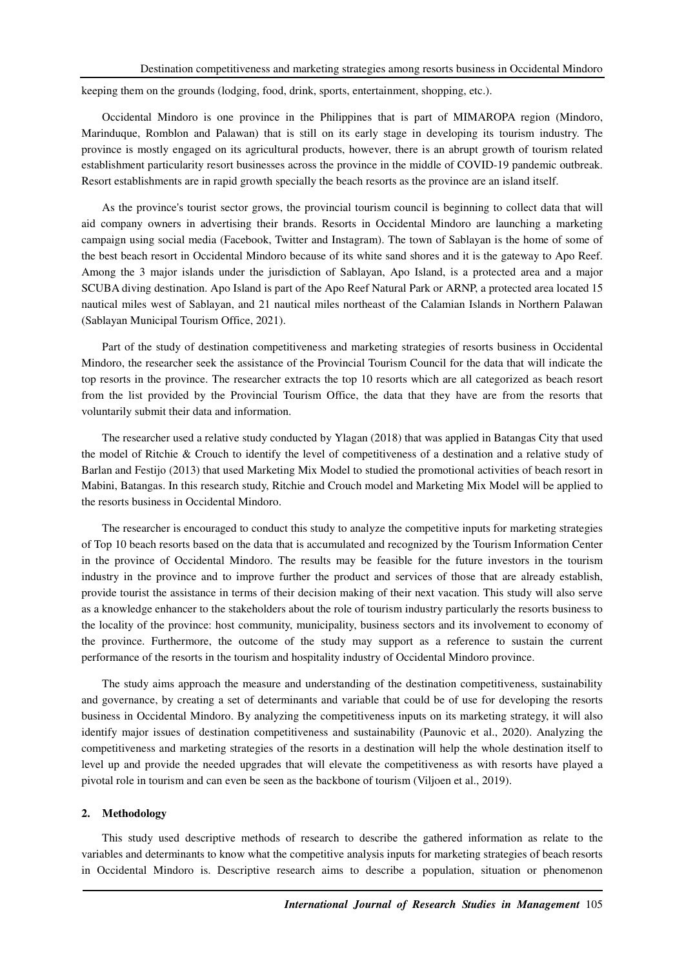keeping them on the grounds (lodging, food, drink, sports, entertainment, shopping, etc.).

Occidental Mindoro is one province in the Philippines that is part of MIMAROPA region (Mindoro, Marinduque, Romblon and Palawan) that is still on its early stage in developing its tourism industry. The province is mostly engaged on its agricultural products, however, there is an abrupt growth of tourism related establishment particularity resort businesses across the province in the middle of COVID-19 pandemic outbreak. Resort establishments are in rapid growth specially the beach resorts as the province are an island itself.

As the province's tourist sector grows, the provincial tourism council is beginning to collect data that will aid company owners in advertising their brands. Resorts in Occidental Mindoro are launching a marketing campaign using social media (Facebook, Twitter and Instagram). The town of Sablayan is the home of some of the best beach resort in Occidental Mindoro because of its white sand shores and it is the gateway to Apo Reef. Among the 3 major islands under the jurisdiction of Sablayan, Apo Island, is a protected area and a major SCUBA diving destination. Apo Island is part of the Apo Reef Natural Park or ARNP, a protected area located 15 nautical miles west of Sablayan, and 21 nautical miles northeast of the Calamian Islands in Northern Palawan (Sablayan Municipal Tourism Office, 2021).

Part of the study of destination competitiveness and marketing strategies of resorts business in Occidental Mindoro, the researcher seek the assistance of the Provincial Tourism Council for the data that will indicate the top resorts in the province. The researcher extracts the top 10 resorts which are all categorized as beach resort from the list provided by the Provincial Tourism Office, the data that they have are from the resorts that voluntarily submit their data and information.

The researcher used a relative study conducted by Ylagan (2018) that was applied in Batangas City that used the model of Ritchie & Crouch to identify the level of competitiveness of a destination and a relative study of Barlan and Festijo (2013) that used Marketing Mix Model to studied the promotional activities of beach resort in Mabini, Batangas. In this research study, Ritchie and Crouch model and Marketing Mix Model will be applied to the resorts business in Occidental Mindoro.

The researcher is encouraged to conduct this study to analyze the competitive inputs for marketing strategies of Top 10 beach resorts based on the data that is accumulated and recognized by the Tourism Information Center in the province of Occidental Mindoro. The results may be feasible for the future investors in the tourism industry in the province and to improve further the product and services of those that are already establish, provide tourist the assistance in terms of their decision making of their next vacation. This study will also serve as a knowledge enhancer to the stakeholders about the role of tourism industry particularly the resorts business to the locality of the province: host community, municipality, business sectors and its involvement to economy of the province. Furthermore, the outcome of the study may support as a reference to sustain the current performance of the resorts in the tourism and hospitality industry of Occidental Mindoro province.

The study aims approach the measure and understanding of the destination competitiveness, sustainability and governance, by creating a set of determinants and variable that could be of use for developing the resorts business in Occidental Mindoro. By analyzing the competitiveness inputs on its marketing strategy, it will also identify major issues of destination competitiveness and sustainability (Paunovic et al., 2020). Analyzing the competitiveness and marketing strategies of the resorts in a destination will help the whole destination itself to level up and provide the needed upgrades that will elevate the competitiveness as with resorts have played a pivotal role in tourism and can even be seen as the backbone of tourism (Viljoen et al., 2019).

#### **2. Methodology**

This study used descriptive methods of research to describe the gathered information as relate to the variables and determinants to know what the competitive analysis inputs for marketing strategies of beach resorts in Occidental Mindoro is. Descriptive research aims to describe a population, situation or phenomenon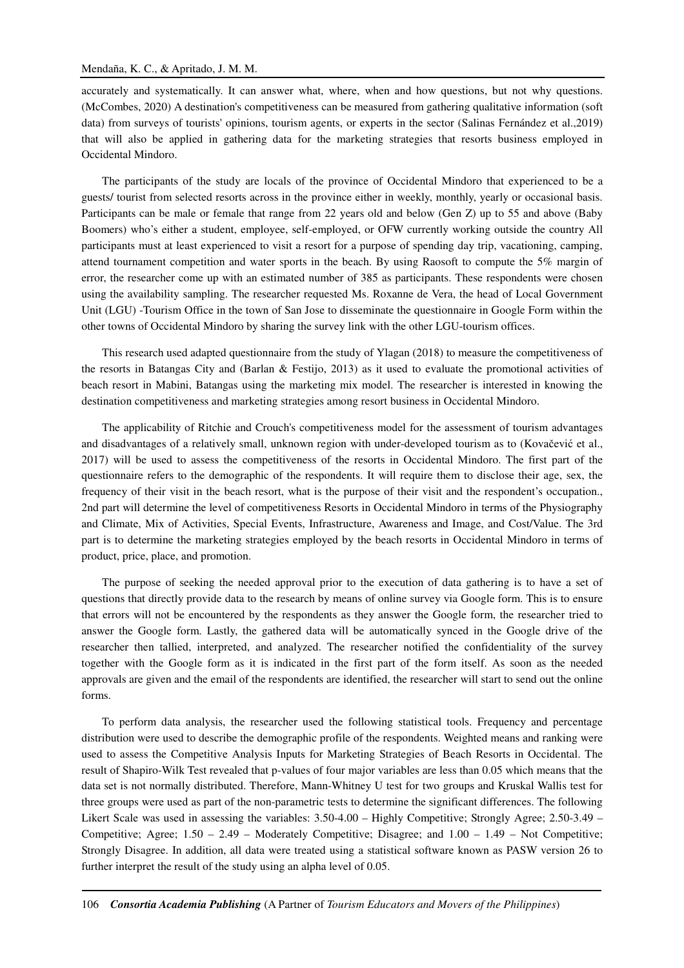accurately and systematically. It can answer what, where, when and how questions, but not why questions. (McCombes, 2020) A destination's competitiveness can be measured from gathering qualitative information (soft data) from surveys of tourists' opinions, tourism agents, or experts in the sector (Salinas Fernández et al.,2019) that will also be applied in gathering data for the marketing strategies that resorts business employed in Occidental Mindoro.

The participants of the study are locals of the province of Occidental Mindoro that experienced to be a guests/ tourist from selected resorts across in the province either in weekly, monthly, yearly or occasional basis. Participants can be male or female that range from 22 years old and below (Gen Z) up to 55 and above (Baby Boomers) who's either a student, employee, self-employed, or OFW currently working outside the country All participants must at least experienced to visit a resort for a purpose of spending day trip, vacationing, camping, attend tournament competition and water sports in the beach. By using Raosoft to compute the 5% margin of error, the researcher come up with an estimated number of 385 as participants. These respondents were chosen using the availability sampling. The researcher requested Ms. Roxanne de Vera, the head of Local Government Unit (LGU) -Tourism Office in the town of San Jose to disseminate the questionnaire in Google Form within the other towns of Occidental Mindoro by sharing the survey link with the other LGU-tourism offices.

This research used adapted questionnaire from the study of Ylagan (2018) to measure the competitiveness of the resorts in Batangas City and (Barlan & Festijo, 2013) as it used to evaluate the promotional activities of beach resort in Mabini, Batangas using the marketing mix model. The researcher is interested in knowing the destination competitiveness and marketing strategies among resort business in Occidental Mindoro.

The applicability of Ritchie and Crouch's competitiveness model for the assessment of tourism advantages and disadvantages of a relatively small, unknown region with under-developed tourism as to (Kovačević et al., 2017) will be used to assess the competitiveness of the resorts in Occidental Mindoro. The first part of the questionnaire refers to the demographic of the respondents. It will require them to disclose their age, sex, the frequency of their visit in the beach resort, what is the purpose of their visit and the respondent's occupation., 2nd part will determine the level of competitiveness Resorts in Occidental Mindoro in terms of the Physiography and Climate, Mix of Activities, Special Events, Infrastructure, Awareness and Image, and Cost/Value. The 3rd part is to determine the marketing strategies employed by the beach resorts in Occidental Mindoro in terms of product, price, place, and promotion.

The purpose of seeking the needed approval prior to the execution of data gathering is to have a set of questions that directly provide data to the research by means of online survey via Google form. This is to ensure that errors will not be encountered by the respondents as they answer the Google form, the researcher tried to answer the Google form. Lastly, the gathered data will be automatically synced in the Google drive of the researcher then tallied, interpreted, and analyzed. The researcher notified the confidentiality of the survey together with the Google form as it is indicated in the first part of the form itself. As soon as the needed approvals are given and the email of the respondents are identified, the researcher will start to send out the online forms.

To perform data analysis, the researcher used the following statistical tools. Frequency and percentage distribution were used to describe the demographic profile of the respondents. Weighted means and ranking were used to assess the Competitive Analysis Inputs for Marketing Strategies of Beach Resorts in Occidental. The result of Shapiro-Wilk Test revealed that p-values of four major variables are less than 0.05 which means that the data set is not normally distributed. Therefore, Mann-Whitney U test for two groups and Kruskal Wallis test for three groups were used as part of the non-parametric tests to determine the significant differences. The following Likert Scale was used in assessing the variables: 3.50-4.00 – Highly Competitive; Strongly Agree; 2.50-3.49 – Competitive; Agree; 1.50 – 2.49 – Moderately Competitive; Disagree; and 1.00 – 1.49 – Not Competitive; Strongly Disagree. In addition, all data were treated using a statistical software known as PASW version 26 to further interpret the result of the study using an alpha level of 0.05.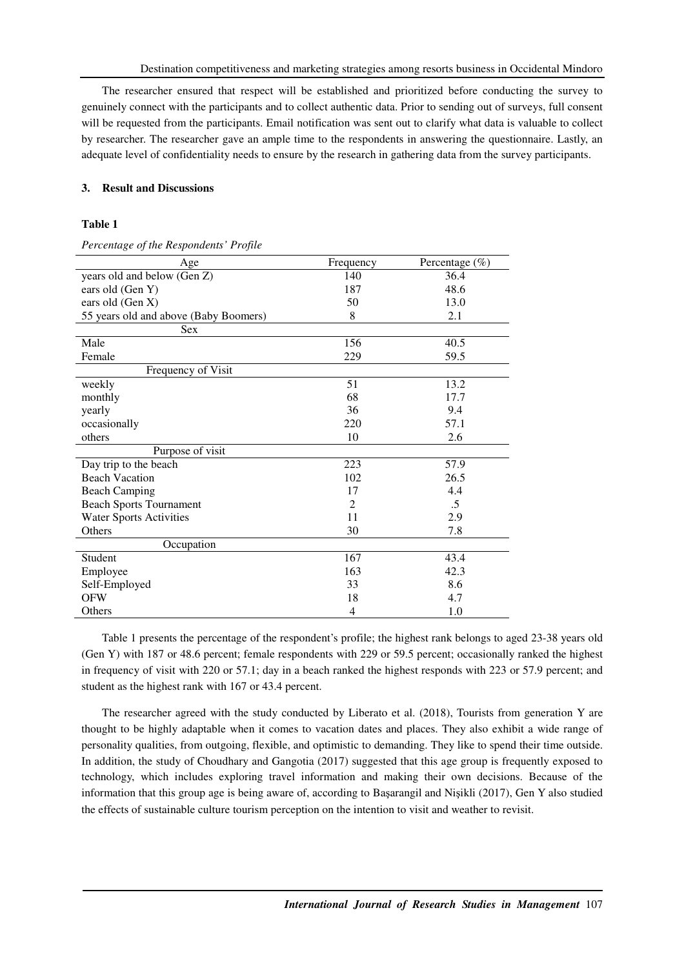The researcher ensured that respect will be established and prioritized before conducting the survey to genuinely connect with the participants and to collect authentic data. Prior to sending out of surveys, full consent will be requested from the participants. Email notification was sent out to clarify what data is valuable to collect by researcher. The researcher gave an ample time to the respondents in answering the questionnaire. Lastly, an adequate level of confidentiality needs to ensure by the research in gathering data from the survey participants.

## **3. Result and Discussions**

## **Table 1**

*Percentage of the Respondents' Profile* 

| Age                                   | Frequency      | Percentage $(\%)$ |
|---------------------------------------|----------------|-------------------|
| years old and below (Gen Z)           | 140            | 36.4              |
| ears old (Gen Y)                      | 187            | 48.6              |
| ears old (Gen X)                      | 50             | 13.0              |
| 55 years old and above (Baby Boomers) | 8              | 2.1               |
| <b>Sex</b>                            |                |                   |
| Male                                  | 156            | 40.5              |
| Female                                | 229            | 59.5              |
| Frequency of Visit                    |                |                   |
| weekly                                | 51             | 13.2              |
| monthly                               | 68             | 17.7              |
| yearly                                | 36             | 9.4               |
| occasionally                          | 220            | 57.1              |
| others                                | 10             | 2.6               |
| Purpose of visit                      |                |                   |
| Day trip to the beach                 | 223            | 57.9              |
| <b>Beach Vacation</b>                 | 102            | 26.5              |
| <b>Beach Camping</b>                  | 17             | 4.4               |
| <b>Beach Sports Tournament</b>        | 2              | $\cdot$ .5        |
| <b>Water Sports Activities</b>        | 11             | 2.9               |
| Others                                | 30             | 7.8               |
| Occupation                            |                |                   |
| Student                               | 167            | 43.4              |
| Employee                              | 163            | 42.3              |
| Self-Employed                         | 33             | 8.6               |
| <b>OFW</b>                            | 18             | 4.7               |
| Others                                | $\overline{4}$ | 1.0               |

Table 1 presents the percentage of the respondent's profile; the highest rank belongs to aged 23-38 years old (Gen Y) with 187 or 48.6 percent; female respondents with 229 or 59.5 percent; occasionally ranked the highest in frequency of visit with 220 or 57.1; day in a beach ranked the highest responds with 223 or 57.9 percent; and student as the highest rank with 167 or 43.4 percent.

The researcher agreed with the study conducted by Liberato et al. (2018), Tourists from generation Y are thought to be highly adaptable when it comes to vacation dates and places. They also exhibit a wide range of personality qualities, from outgoing, flexible, and optimistic to demanding. They like to spend their time outside. In addition, the study of Choudhary and Gangotia (2017) suggested that this age group is frequently exposed to technology, which includes exploring travel information and making their own decisions. Because of the information that this group age is being aware of, according to Başarangil and Nişikli (2017), Gen Y also studied the effects of sustainable culture tourism perception on the intention to visit and weather to revisit.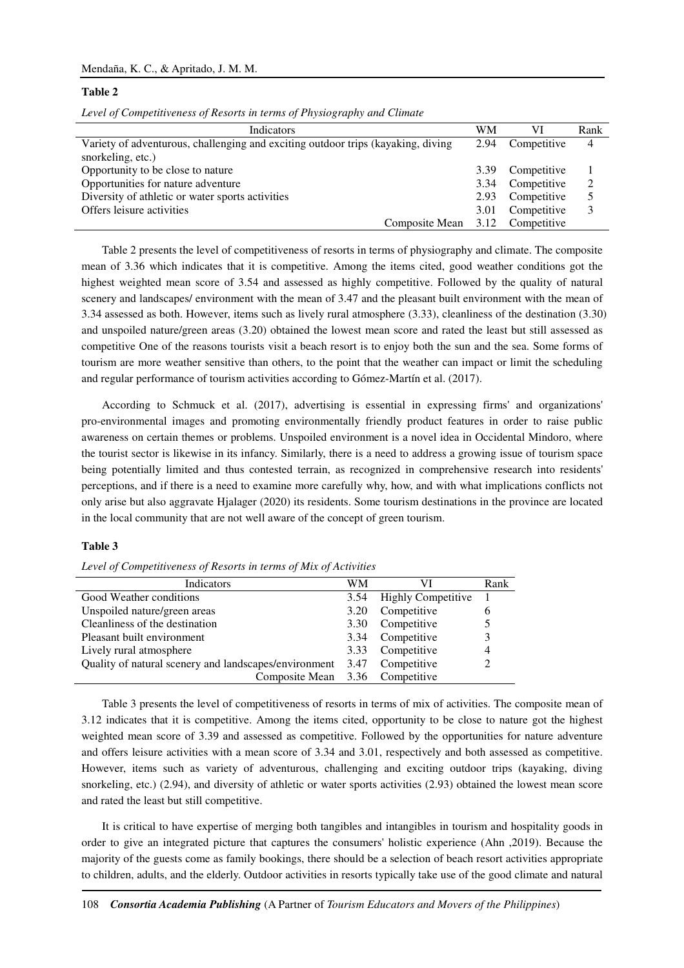## **Table 2**

|  |  | Level of Competitiveness of Resorts in terms of Physiography and Climate |
|--|--|--------------------------------------------------------------------------|
|  |  |                                                                          |

| Indicators                                                                       | WМ   | VI          | Rank |
|----------------------------------------------------------------------------------|------|-------------|------|
| Variety of adventurous, challenging and exciting outdoor trips (kayaking, diving | 2.94 | Competitive | 4    |
| snorkeling, etc.)                                                                |      |             |      |
| Opportunity to be close to nature                                                | 3.39 | Competitive |      |
| Opportunities for nature adventure                                               | 3.34 | Competitive | 2    |
| Diversity of athletic or water sports activities                                 | 2.93 | Competitive | 5    |
| Offers leisure activities                                                        | 3.01 | Competitive | 3    |
| Composite Mean                                                                   | 3.12 | Competitive |      |

Table 2 presents the level of competitiveness of resorts in terms of physiography and climate. The composite mean of 3.36 which indicates that it is competitive. Among the items cited, good weather conditions got the highest weighted mean score of 3.54 and assessed as highly competitive. Followed by the quality of natural scenery and landscapes/ environment with the mean of 3.47 and the pleasant built environment with the mean of 3.34 assessed as both. However, items such as lively rural atmosphere (3.33), cleanliness of the destination (3.30) and unspoiled nature/green areas (3.20) obtained the lowest mean score and rated the least but still assessed as competitive One of the reasons tourists visit a beach resort is to enjoy both the sun and the sea. Some forms of tourism are more weather sensitive than others, to the point that the weather can impact or limit the scheduling and regular performance of tourism activities according to Gómez-Martín et al. (2017).

According to Schmuck et al. (2017), advertising is essential in expressing firms' and organizations' pro-environmental images and promoting environmentally friendly product features in order to raise public awareness on certain themes or problems. Unspoiled environment is a novel idea in Occidental Mindoro, where the tourist sector is likewise in its infancy. Similarly, there is a need to address a growing issue of tourism space being potentially limited and thus contested terrain, as recognized in comprehensive research into residents' perceptions, and if there is a need to examine more carefully why, how, and with what implications conflicts not only arise but also aggravate Hjalager (2020) its residents. Some tourism destinations in the province are located in the local community that are not well aware of the concept of green tourism.

## **Table 3**

*Level of Competitiveness of Resorts in terms of Mix of Activities* 

| <b>Indicators</b>                                     | WM   | VI                        | Rank |
|-------------------------------------------------------|------|---------------------------|------|
| Good Weather conditions                               | 3.54 | <b>Highly Competitive</b> |      |
| Unspoiled nature/green areas                          | 3.20 | Competitive               | 6    |
| Cleanliness of the destination                        | 3.30 | Competitive               | 5    |
| Pleasant built environment                            | 3.34 | Competitive               | 3    |
| Lively rural atmosphere                               | 3.33 | Competitive               | 4    |
| Quality of natural scenery and landscapes/environment | 3.47 | Competitive               |      |
| Composite Mean 3.36 Competitive                       |      |                           |      |

Table 3 presents the level of competitiveness of resorts in terms of mix of activities. The composite mean of 3.12 indicates that it is competitive. Among the items cited, opportunity to be close to nature got the highest weighted mean score of 3.39 and assessed as competitive. Followed by the opportunities for nature adventure and offers leisure activities with a mean score of 3.34 and 3.01, respectively and both assessed as competitive. However, items such as variety of adventurous, challenging and exciting outdoor trips (kayaking, diving snorkeling, etc.) (2.94), and diversity of athletic or water sports activities (2.93) obtained the lowest mean score and rated the least but still competitive.

It is critical to have expertise of merging both tangibles and intangibles in tourism and hospitality goods in order to give an integrated picture that captures the consumers' holistic experience (Ahn ,2019). Because the majority of the guests come as family bookings, there should be a selection of beach resort activities appropriate to children, adults, and the elderly. Outdoor activities in resorts typically take use of the good climate and natural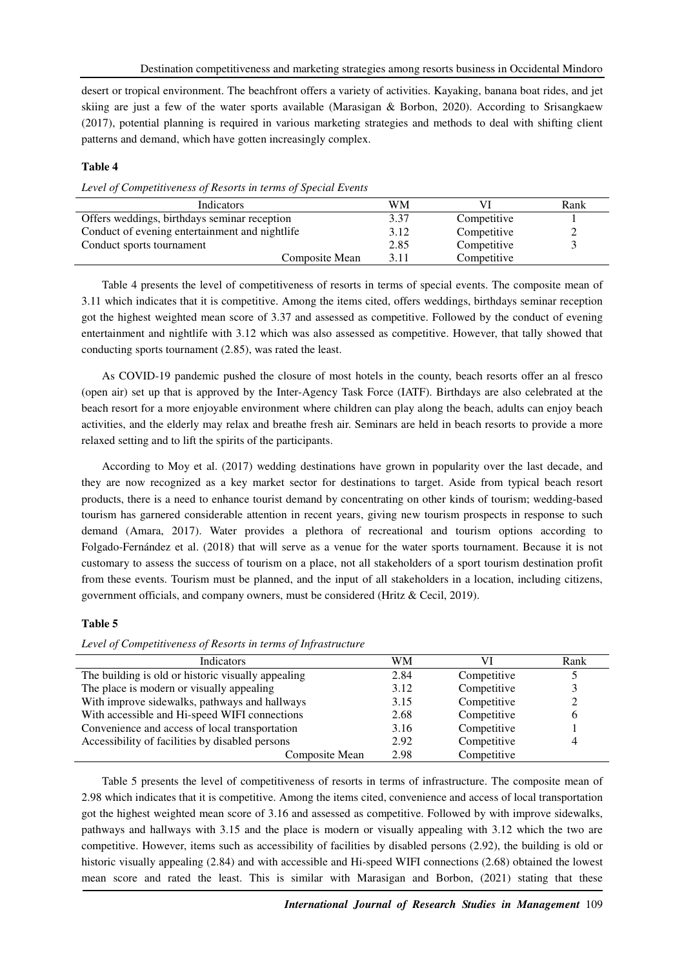desert or tropical environment. The beachfront offers a variety of activities. Kayaking, banana boat rides, and jet skiing are just a few of the water sports available (Marasigan & Borbon, 2020). According to Srisangkaew (2017), potential planning is required in various marketing strategies and methods to deal with shifting client patterns and demand, which have gotten increasingly complex.

## **Table 4**

*Level of Competitiveness of Resorts in terms of Special Events* 

| Indicators                                     | WМ   |             | Rank |
|------------------------------------------------|------|-------------|------|
| Offers weddings, birthdays seminar reception   | 3.37 | Competitive |      |
| Conduct of evening entertainment and nightlife | 3.12 | Competitive |      |
| Conduct sports tournament                      | 2.85 | Competitive |      |
| Composite Mean                                 | 3.11 | Competitive |      |

Table 4 presents the level of competitiveness of resorts in terms of special events. The composite mean of 3.11 which indicates that it is competitive. Among the items cited, offers weddings, birthdays seminar reception got the highest weighted mean score of 3.37 and assessed as competitive. Followed by the conduct of evening entertainment and nightlife with 3.12 which was also assessed as competitive. However, that tally showed that conducting sports tournament (2.85), was rated the least.

As COVID-19 pandemic pushed the closure of most hotels in the county, beach resorts offer an al fresco (open air) set up that is approved by the Inter-Agency Task Force (IATF). Birthdays are also celebrated at the beach resort for a more enjoyable environment where children can play along the beach, adults can enjoy beach activities, and the elderly may relax and breathe fresh air. Seminars are held in beach resorts to provide a more relaxed setting and to lift the spirits of the participants.

According to Moy et al. (2017) wedding destinations have grown in popularity over the last decade, and they are now recognized as a key market sector for destinations to target. Aside from typical beach resort products, there is a need to enhance tourist demand by concentrating on other kinds of tourism; wedding-based tourism has garnered considerable attention in recent years, giving new tourism prospects in response to such demand (Amara, 2017). Water provides a plethora of recreational and tourism options according to Folgado-Fernández et al. (2018) that will serve as a venue for the water sports tournament. Because it is not customary to assess the success of tourism on a place, not all stakeholders of a sport tourism destination profit from these events. Tourism must be planned, and the input of all stakeholders in a location, including citizens, government officials, and company owners, must be considered (Hritz & Cecil, 2019).

## **Table 5**

*Level of Competitiveness of Resorts in terms of Infrastructure* 

| Indicators                                         | WМ   |             | Rank         |
|----------------------------------------------------|------|-------------|--------------|
| The building is old or historic visually appealing | 2.84 | Competitive |              |
| The place is modern or visually appealing          | 3.12 | Competitive |              |
| With improve sidewalks, pathways and hallways      | 3.15 | Competitive | C            |
| With accessible and Hi-speed WIFI connections      | 2.68 | Competitive | <sub>(</sub> |
| Convenience and access of local transportation     | 3.16 | Competitive |              |
| Accessibility of facilities by disabled persons    | 2.92 | Competitive |              |
| Composite Mean                                     | 2.98 | Competitive |              |

Table 5 presents the level of competitiveness of resorts in terms of infrastructure. The composite mean of 2.98 which indicates that it is competitive. Among the items cited, convenience and access of local transportation got the highest weighted mean score of 3.16 and assessed as competitive. Followed by with improve sidewalks, pathways and hallways with 3.15 and the place is modern or visually appealing with 3.12 which the two are competitive. However, items such as accessibility of facilities by disabled persons (2.92), the building is old or historic visually appealing (2.84) and with accessible and Hi-speed WIFI connections (2.68) obtained the lowest mean score and rated the least. This is similar with Marasigan and Borbon, (2021) stating that these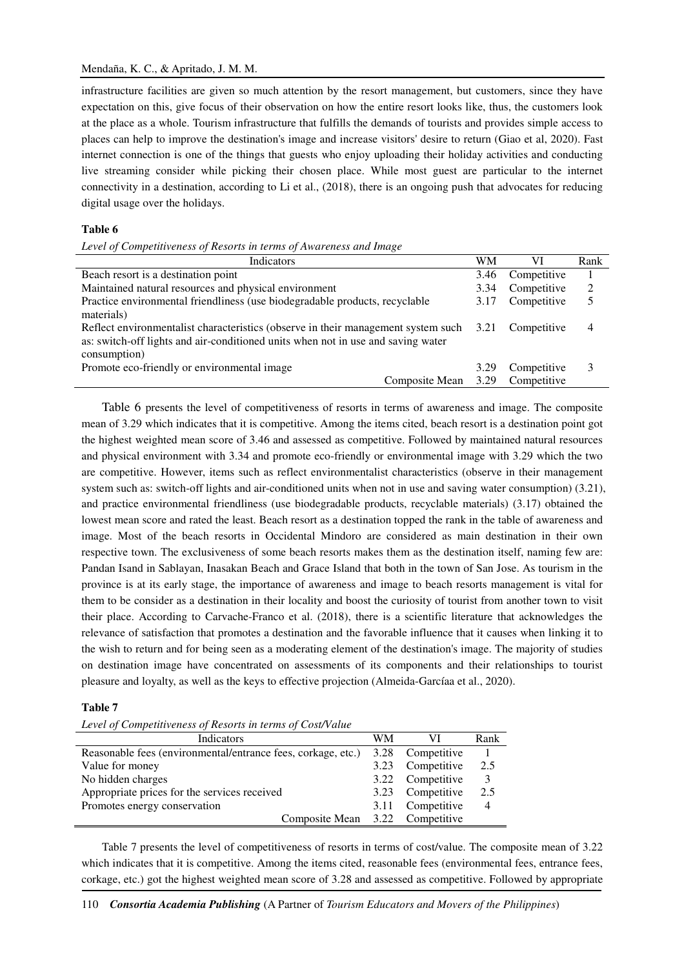infrastructure facilities are given so much attention by the resort management, but customers, since they have expectation on this, give focus of their observation on how the entire resort looks like, thus, the customers look at the place as a whole. Tourism infrastructure that fulfills the demands of tourists and provides simple access to places can help to improve the destination's image and increase visitors' desire to return (Giao et al, 2020). Fast internet connection is one of the things that guests who enjoy uploading their holiday activities and conducting live streaming consider while picking their chosen place. While most guest are particular to the internet connectivity in a destination, according to Li et al., (2018), there is an ongoing push that advocates for reducing digital usage over the holidays.

#### **Table 6**

*Level of Competitiveness of Resorts in terms of Awareness and Image* 

| Indicators                                                                        | WМ   | VI          | Rank |
|-----------------------------------------------------------------------------------|------|-------------|------|
| Beach resort is a destination point                                               | 3.46 | Competitive |      |
| Maintained natural resources and physical environment                             | 3.34 | Competitive | 2    |
| Practice environmental friendliness (use biodegradable products, recyclable       | 3.17 | Competitive | 5    |
| materials)                                                                        |      |             |      |
| Reflect environmentalist characteristics (observe in their management system such | 3.21 | Competitive | 4    |
| as: switch-off lights and air-conditioned units when not in use and saving water  |      |             |      |
| consumption)                                                                      |      |             |      |
| Promote eco-friendly or environmental image                                       | 3.29 | Competitive | 3    |
| Composite Mean                                                                    | 3.29 | Competitive |      |

Table 6 presents the level of competitiveness of resorts in terms of awareness and image. The composite mean of 3.29 which indicates that it is competitive. Among the items cited, beach resort is a destination point got the highest weighted mean score of 3.46 and assessed as competitive. Followed by maintained natural resources and physical environment with 3.34 and promote eco-friendly or environmental image with 3.29 which the two are competitive. However, items such as reflect environmentalist characteristics (observe in their management system such as: switch-off lights and air-conditioned units when not in use and saving water consumption) (3.21), and practice environmental friendliness (use biodegradable products, recyclable materials) (3.17) obtained the lowest mean score and rated the least. Beach resort as a destination topped the rank in the table of awareness and image. Most of the beach resorts in Occidental Mindoro are considered as main destination in their own respective town. The exclusiveness of some beach resorts makes them as the destination itself, naming few are: Pandan Isand in Sablayan, Inasakan Beach and Grace Island that both in the town of San Jose. As tourism in the province is at its early stage, the importance of awareness and image to beach resorts management is vital for them to be consider as a destination in their locality and boost the curiosity of tourist from another town to visit their place. According to Carvache-Franco et al. (2018), there is a scientific literature that acknowledges the relevance of satisfaction that promotes a destination and the favorable influence that it causes when linking it to the wish to return and for being seen as a moderating element of the destination's image. The majority of studies on destination image have concentrated on assessments of its components and their relationships to tourist pleasure and loyalty, as well as the keys to effective projection (Almeida-Garcíaa et al., 2020).

#### **Table 7**

*Level of Competitiveness of Resorts in terms of Cost/Value* 

| Indicators                                                   | WМ   | VI               | Rank           |
|--------------------------------------------------------------|------|------------------|----------------|
| Reasonable fees (environmental/entrance fees, corkage, etc.) | 3.28 | Competitive      |                |
| Value for money                                              |      | 3.23 Competitive | 2.5            |
| No hidden charges                                            |      | 3.22 Competitive |                |
| Appropriate prices for the services received                 |      | 3.23 Competitive | 2.5            |
| Promotes energy conservation                                 | 3.11 | Competitive      | $\overline{4}$ |
| Composite Mean 3.22 Competitive                              |      |                  |                |

Table 7 presents the level of competitiveness of resorts in terms of cost/value. The composite mean of 3.22 which indicates that it is competitive. Among the items cited, reasonable fees (environmental fees, entrance fees, corkage, etc.) got the highest weighted mean score of 3.28 and assessed as competitive. Followed by appropriate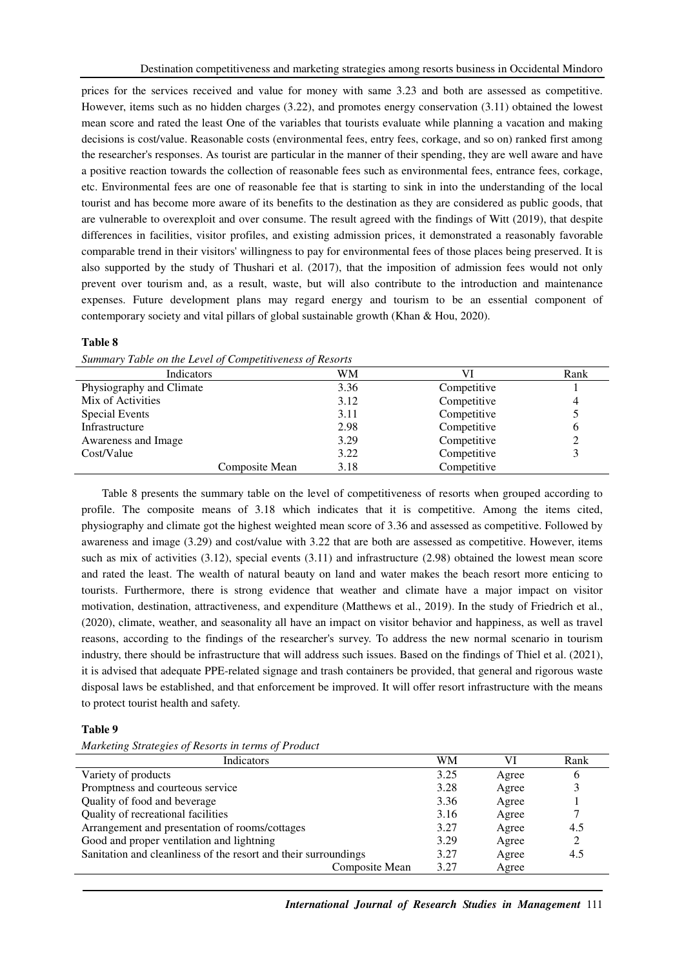prices for the services received and value for money with same 3.23 and both are assessed as competitive. However, items such as no hidden charges (3.22), and promotes energy conservation (3.11) obtained the lowest mean score and rated the least One of the variables that tourists evaluate while planning a vacation and making decisions is cost/value. Reasonable costs (environmental fees, entry fees, corkage, and so on) ranked first among the researcher's responses. As tourist are particular in the manner of their spending, they are well aware and have a positive reaction towards the collection of reasonable fees such as environmental fees, entrance fees, corkage, etc. Environmental fees are one of reasonable fee that is starting to sink in into the understanding of the local tourist and has become more aware of its benefits to the destination as they are considered as public goods, that are vulnerable to overexploit and over consume. The result agreed with the findings of Witt (2019), that despite differences in facilities, visitor profiles, and existing admission prices, it demonstrated a reasonably favorable comparable trend in their visitors' willingness to pay for environmental fees of those places being preserved. It is also supported by the study of Thushari et al. (2017), that the imposition of admission fees would not only prevent over tourism and, as a result, waste, but will also contribute to the introduction and maintenance expenses. Future development plans may regard energy and tourism to be an essential component of contemporary society and vital pillars of global sustainable growth (Khan & Hou, 2020).

#### **Table 8**

|  |  | Summary Table on the Level of Competitiveness of Resorts |  |
|--|--|----------------------------------------------------------|--|
|  |  |                                                          |  |

| Indicators               |                | WМ   |             | Rank |
|--------------------------|----------------|------|-------------|------|
| Physiography and Climate |                | 3.36 | Competitive |      |
| Mix of Activities        |                | 3.12 | Competitive |      |
| <b>Special Events</b>    |                | 3.11 | Competitive |      |
| Infrastructure           |                | 2.98 | Competitive | O    |
| Awareness and Image      |                | 3.29 | Competitive |      |
| Cost/Value               |                | 3.22 | Competitive |      |
|                          | Composite Mean | 3.18 | Competitive |      |

Table 8 presents the summary table on the level of competitiveness of resorts when grouped according to profile. The composite means of 3.18 which indicates that it is competitive. Among the items cited, physiography and climate got the highest weighted mean score of 3.36 and assessed as competitive. Followed by awareness and image (3.29) and cost/value with 3.22 that are both are assessed as competitive. However, items such as mix of activities (3.12), special events (3.11) and infrastructure (2.98) obtained the lowest mean score and rated the least. The wealth of natural beauty on land and water makes the beach resort more enticing to tourists. Furthermore, there is strong evidence that weather and climate have a major impact on visitor motivation, destination, attractiveness, and expenditure (Matthews et al., 2019). In the study of Friedrich et al., (2020), climate, weather, and seasonality all have an impact on visitor behavior and happiness, as well as travel reasons, according to the findings of the researcher's survey. To address the new normal scenario in tourism industry, there should be infrastructure that will address such issues. Based on the findings of Thiel et al. (2021), it is advised that adequate PPE-related signage and trash containers be provided, that general and rigorous waste disposal laws be established, and that enforcement be improved. It will offer resort infrastructure with the means to protect tourist health and safety.

#### **Table 9**

|  | Marketing Strategies of Resorts in terms of Product |  |  |  |
|--|-----------------------------------------------------|--|--|--|
|--|-----------------------------------------------------|--|--|--|

| Indicators                                                      | WМ   | VI    | Rank |
|-----------------------------------------------------------------|------|-------|------|
| Variety of products                                             | 3.25 | Agree | 6    |
| Promptness and courteous service                                | 3.28 | Agree |      |
| Quality of food and beverage                                    | 3.36 | Agree |      |
| Quality of recreational facilities                              | 3.16 | Agree |      |
| Arrangement and presentation of rooms/cottages                  | 3.27 | Agree | 4.5  |
| Good and proper ventilation and lightning                       | 3.29 | Agree | 2    |
| Sanitation and cleanliness of the resort and their surroundings | 3.27 | Agree | 4.5  |
| Composite Mean                                                  | 3.27 | Agree |      |
|                                                                 |      |       |      |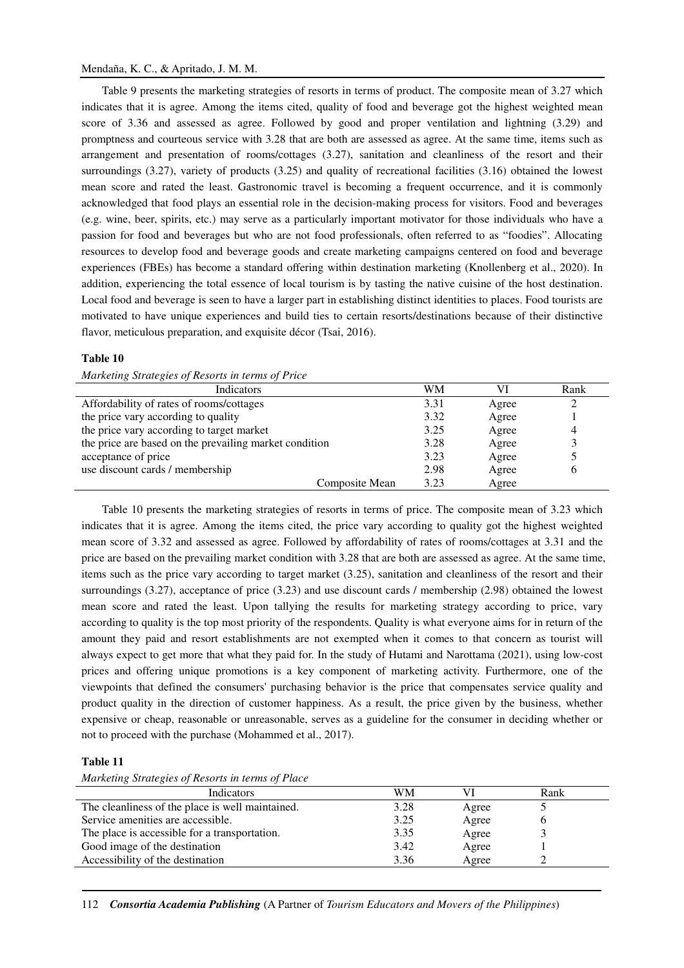Table 9 presents the marketing strategies of resorts in terms of product. The composite mean of 3.27 which indicates that it is agree. Among the items cited, quality of food and beverage got the highest weighted mean score of 3.36 and assessed as agree. Followed by good and proper ventilation and lightning (3.29) and promptness and courteous service with 3.28 that are both are assessed as agree. At the same time, items such as arrangement and presentation of rooms/cottages (3.27), sanitation and cleanliness of the resort and their surroundings (3.27), variety of products (3.25) and quality of recreational facilities (3.16) obtained the lowest mean score and rated the least. Gastronomic travel is becoming a frequent occurrence, and it is commonly acknowledged that food plays an essential role in the decision-making process for visitors. Food and beverages (e.g. wine, beer, spirits, etc.) may serve as a particularly important motivator for those individuals who have a passion for food and beverages but who are not food professionals, often referred to as "foodies". Allocating resources to develop food and beverage goods and create marketing campaigns centered on food and beverage experiences (FBEs) has become a standard offering within destination marketing (Knollenberg et al., 2020). In addition, experiencing the total essence of local tourism is by tasting the native cuisine of the host destination. Local food and beverage is seen to have a larger part in establishing distinct identities to places. Food tourists are motivated to have unique experiences and build ties to certain resorts/destinations because of their distinctive flavor, meticulous preparation, and exquisite décor (Tsai, 2016).

## **Table 10**

| Marketing Strategies of Resorts in terms of Price      |      |       |      |
|--------------------------------------------------------|------|-------|------|
| Indicators                                             | WМ   | VI    | Rank |
| Affordability of rates of rooms/cottages               | 3.31 | Agree | っ    |
| the price vary according to quality                    | 3.32 | Agree |      |
| the price vary according to target market              | 3.25 | Agree | 4    |
| the price are based on the prevailing market condition | 3.28 | Agree | 3    |
| acceptance of price                                    | 3.23 | Agree | 5    |
| use discount cards / membership                        | 2.98 | Agree | 6    |
| Composite Mean                                         | 3.23 | Agree |      |

Table 10 presents the marketing strategies of resorts in terms of price. The composite mean of 3.23 which indicates that it is agree. Among the items cited, the price vary according to quality got the highest weighted mean score of 3.32 and assessed as agree. Followed by affordability of rates of rooms/cottages at 3.31 and the price are based on the prevailing market condition with 3.28 that are both are assessed as agree. At the same time, items such as the price vary according to target market (3.25), sanitation and cleanliness of the resort and their surroundings (3.27), acceptance of price (3.23) and use discount cards / membership (2.98) obtained the lowest mean score and rated the least. Upon tallying the results for marketing strategy according to price, vary according to quality is the top most priority of the respondents. Quality is what everyone aims for in return of the amount they paid and resort establishments are not exempted when it comes to that concern as tourist will always expect to get more that what they paid for. In the study of Hutami and Narottama (2021), using low-cost prices and offering unique promotions is a key component of marketing activity. Furthermore, one of the viewpoints that defined the consumers' purchasing behavior is the price that compensates service quality and product quality in the direction of customer happiness. As a result, the price given by the business, whether expensive or cheap, reasonable or unreasonable, serves as a guideline for the consumer in deciding whether or not to proceed with the purchase (Mohammed et al., 2017).

## **Table 11**

*Marketing Strategies of Resorts in terms of Place* 

| Indicators                                       | WМ   |       | Rank |  |
|--------------------------------------------------|------|-------|------|--|
| The cleanliness of the place is well maintained. | 3.28 | Agree |      |  |
| Service amenities are accessible.                | 3.25 | Agree |      |  |
| The place is accessible for a transportation.    | 3.35 | Agree |      |  |
| Good image of the destination                    | 3.42 | Agree |      |  |
| Accessibility of the destination                 | 3.36 | Agree |      |  |
|                                                  |      |       |      |  |

112 *Consortia Academia Publishing* (A Partner of *Tourism Educators and Movers of the Philippines*)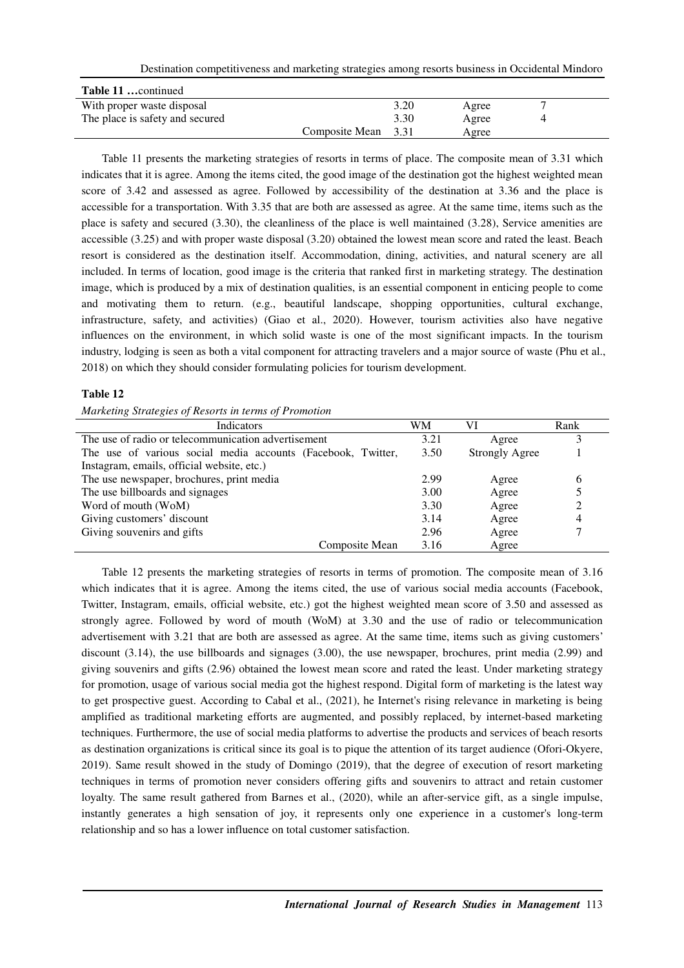Destination competitiveness and marketing strategies among resorts business in Occidental Mindoro

| <b>Table 11</b> continued       |                     |      |       |  |
|---------------------------------|---------------------|------|-------|--|
| With proper waste disposal      |                     | 3.20 | Agree |  |
| The place is safety and secured |                     | 3.30 | Agree |  |
|                                 | Composite Mean 3.31 |      | Agree |  |

Table 11 presents the marketing strategies of resorts in terms of place. The composite mean of 3.31 which indicates that it is agree. Among the items cited, the good image of the destination got the highest weighted mean score of 3.42 and assessed as agree. Followed by accessibility of the destination at 3.36 and the place is accessible for a transportation. With 3.35 that are both are assessed as agree. At the same time, items such as the place is safety and secured (3.30), the cleanliness of the place is well maintained (3.28), Service amenities are accessible (3.25) and with proper waste disposal (3.20) obtained the lowest mean score and rated the least. Beach resort is considered as the destination itself. Accommodation, dining, activities, and natural scenery are all included. In terms of location, good image is the criteria that ranked first in marketing strategy. The destination image, which is produced by a mix of destination qualities, is an essential component in enticing people to come and motivating them to return. (e.g., beautiful landscape, shopping opportunities, cultural exchange, infrastructure, safety, and activities) (Giao et al., 2020). However, tourism activities also have negative influences on the environment, in which solid waste is one of the most significant impacts. In the tourism industry, lodging is seen as both a vital component for attracting travelers and a major source of waste (Phu et al., 2018) on which they should consider formulating policies for tourism development.

## **Table 12**

*Marketing Strategies of Resorts in terms of Promotion* 

| <b>Indicators</b>                                            | WM   | VI                    | Rank |
|--------------------------------------------------------------|------|-----------------------|------|
| The use of radio or telecommunication advertisement          | 3.21 | Agree                 |      |
| The use of various social media accounts (Facebook, Twitter, | 3.50 | <b>Strongly Agree</b> |      |
| Instagram, emails, official website, etc.)                   |      |                       |      |
| The use newspaper, brochures, print media                    | 2.99 | Agree                 | 6    |
| The use billboards and signages                              | 3.00 | Agree                 |      |
| Word of mouth (WoM)                                          | 3.30 | Agree                 |      |
| Giving customers' discount                                   | 3.14 | Agree                 | 4    |
| Giving souvenirs and gifts                                   | 2.96 | Agree                 |      |
| Composite Mean                                               | 3.16 | Agree                 |      |

Table 12 presents the marketing strategies of resorts in terms of promotion. The composite mean of 3.16 which indicates that it is agree. Among the items cited, the use of various social media accounts (Facebook, Twitter, Instagram, emails, official website, etc.) got the highest weighted mean score of 3.50 and assessed as strongly agree. Followed by word of mouth (WoM) at 3.30 and the use of radio or telecommunication advertisement with 3.21 that are both are assessed as agree. At the same time, items such as giving customers' discount (3.14), the use billboards and signages (3.00), the use newspaper, brochures, print media (2.99) and giving souvenirs and gifts (2.96) obtained the lowest mean score and rated the least. Under marketing strategy for promotion, usage of various social media got the highest respond. Digital form of marketing is the latest way to get prospective guest. According to Cabal et al., (2021), he Internet's rising relevance in marketing is being amplified as traditional marketing efforts are augmented, and possibly replaced, by internet-based marketing techniques. Furthermore, the use of social media platforms to advertise the products and services of beach resorts as destination organizations is critical since its goal is to pique the attention of its target audience (Ofori-Okyere, 2019). Same result showed in the study of Domingo (2019), that the degree of execution of resort marketing techniques in terms of promotion never considers offering gifts and souvenirs to attract and retain customer loyalty. The same result gathered from Barnes et al., (2020), while an after-service gift, as a single impulse, instantly generates a high sensation of joy, it represents only one experience in a customer's long-term relationship and so has a lower influence on total customer satisfaction.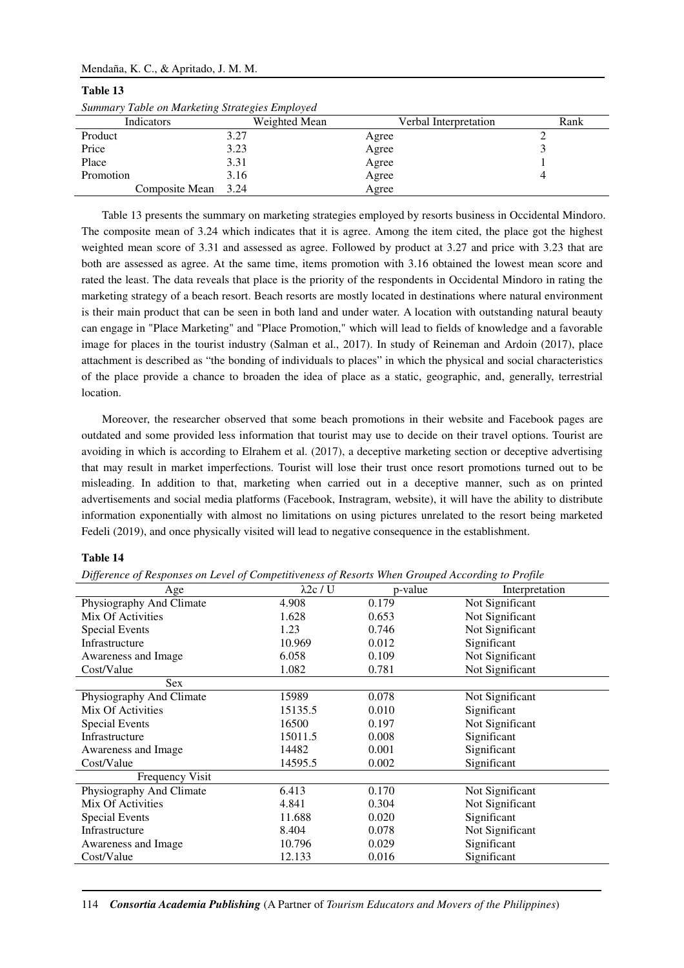| Summary Table on Marketing Strategies Employed |               |                       |      |
|------------------------------------------------|---------------|-----------------------|------|
| Indicators                                     | Weighted Mean | Verbal Interpretation | Rank |
| Product                                        | 3.27          | Agree                 |      |
| Price                                          | 3.23          | Agree                 |      |
| Place                                          | 3.31          | Agree                 |      |
| Promotion                                      | 3.16          | Agree                 |      |
| Composite Mean                                 | 3.24          | Agree                 |      |

# **Table 13**

Table 13 presents the summary on marketing strategies employed by resorts business in Occidental Mindoro. The composite mean of 3.24 which indicates that it is agree. Among the item cited, the place got the highest weighted mean score of 3.31 and assessed as agree. Followed by product at 3.27 and price with 3.23 that are both are assessed as agree. At the same time, items promotion with 3.16 obtained the lowest mean score and rated the least. The data reveals that place is the priority of the respondents in Occidental Mindoro in rating the marketing strategy of a beach resort. Beach resorts are mostly located in destinations where natural environment is their main product that can be seen in both land and under water. A location with outstanding natural beauty can engage in "Place Marketing" and "Place Promotion," which will lead to fields of knowledge and a favorable image for places in the tourist industry (Salman et al., 2017). In study of Reineman and Ardoin (2017), place attachment is described as "the bonding of individuals to places" in which the physical and social characteristics of the place provide a chance to broaden the idea of place as a static, geographic, and, generally, terrestrial location.

Moreover, the researcher observed that some beach promotions in their website and Facebook pages are outdated and some provided less information that tourist may use to decide on their travel options. Tourist are avoiding in which is according to Elrahem et al. (2017), a deceptive marketing section or deceptive advertising that may result in market imperfections. Tourist will lose their trust once resort promotions turned out to be misleading. In addition to that, marketing when carried out in a deceptive manner, such as on printed advertisements and social media platforms (Facebook, Instragram, website), it will have the ability to distribute information exponentially with almost no limitations on using pictures unrelated to the resort being marketed Fedeli (2019), and once physically visited will lead to negative consequence in the establishment.

## **Table 14**

| Difference of Responses on Level of Competitiveness of Resorts When Grouped According to Profile |  |  |
|--------------------------------------------------------------------------------------------------|--|--|
|                                                                                                  |  |  |

| vv                       |                  |         |                 |
|--------------------------|------------------|---------|-----------------|
| Age                      | $\lambda$ 2c / U | p-value | Interpretation  |
| Physiography And Climate | 4.908            | 0.179   | Not Significant |
| Mix Of Activities        | 1.628            | 0.653   | Not Significant |
| Special Events           | 1.23             | 0.746   | Not Significant |
| Infrastructure           | 10.969           | 0.012   | Significant     |
| Awareness and Image      | 6.058            | 0.109   | Not Significant |
| Cost/Value               | 1.082            | 0.781   | Not Significant |
| Sex                      |                  |         |                 |
| Physiography And Climate | 15989            | 0.078   | Not Significant |
| Mix Of Activities        | 15135.5          | 0.010   | Significant     |
| <b>Special Events</b>    | 16500            | 0.197   | Not Significant |
| Infrastructure           | 15011.5          | 0.008   | Significant     |
| Awareness and Image      | 14482            | 0.001   | Significant     |
| Cost/Value               | 14595.5          | 0.002   | Significant     |
| <b>Frequency Visit</b>   |                  |         |                 |
| Physiography And Climate | 6.413            | 0.170   | Not Significant |
| Mix Of Activities        | 4.841            | 0.304   | Not Significant |
| <b>Special Events</b>    | 11.688           | 0.020   | Significant     |
| Infrastructure           | 8.404            | 0.078   | Not Significant |
| Awareness and Image      | 10.796           | 0.029   | Significant     |
| Cost/Value               | 12.133           | 0.016   | Significant     |
|                          |                  |         |                 |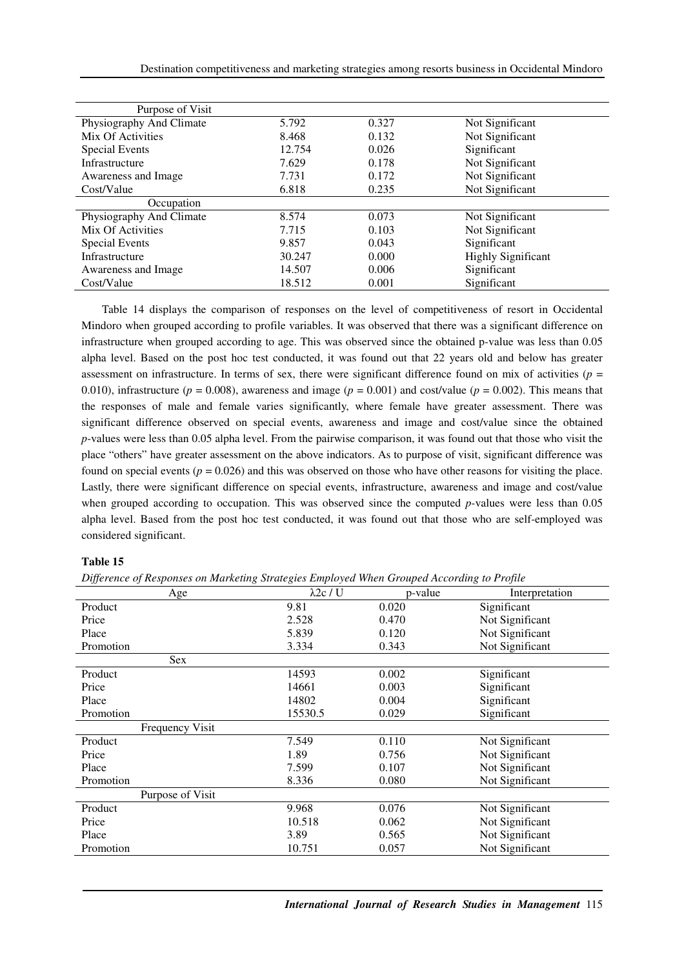| Purpose of Visit         |        |       |                           |
|--------------------------|--------|-------|---------------------------|
| Physiography And Climate | 5.792  | 0.327 | Not Significant           |
| Mix Of Activities        | 8.468  | 0.132 | Not Significant           |
| <b>Special Events</b>    | 12.754 | 0.026 | Significant               |
| Infrastructure           | 7.629  | 0.178 | Not Significant           |
| Awareness and Image      | 7.731  | 0.172 | Not Significant           |
| Cost/Value               | 6.818  | 0.235 | Not Significant           |
| Occupation               |        |       |                           |
| Physiography And Climate | 8.574  | 0.073 | Not Significant           |
| Mix Of Activities        | 7.715  | 0.103 | Not Significant           |
| <b>Special Events</b>    | 9.857  | 0.043 | Significant               |
| Infrastructure           | 30.247 | 0.000 | <b>Highly Significant</b> |
| Awareness and Image      | 14.507 | 0.006 | Significant               |
| Cost/Value               | 18.512 | 0.001 | Significant               |

Table 14 displays the comparison of responses on the level of competitiveness of resort in Occidental Mindoro when grouped according to profile variables. It was observed that there was a significant difference on infrastructure when grouped according to age. This was observed since the obtained p-value was less than 0.05 alpha level. Based on the post hoc test conducted, it was found out that 22 years old and below has greater assessment on infrastructure. In terms of sex, there were significant difference found on mix of activities ( $p =$ 0.010), infrastructure ( $p = 0.008$ ), awareness and image ( $p = 0.001$ ) and cost/value ( $p = 0.002$ ). This means that the responses of male and female varies significantly, where female have greater assessment. There was significant difference observed on special events, awareness and image and cost/value since the obtained *p*-values were less than 0.05 alpha level. From the pairwise comparison, it was found out that those who visit the place "others" have greater assessment on the above indicators. As to purpose of visit, significant difference was found on special events  $(p = 0.026)$  and this was observed on those who have other reasons for visiting the place. Lastly, there were significant difference on special events, infrastructure, awareness and image and cost/value when grouped according to occupation. This was observed since the computed *p*-values were less than 0.05 alpha level. Based from the post hoc test conducted, it was found out that those who are self-employed was considered significant.

## **Table 15**

*Difference of Responses on Marketing Strategies Employed When Grouped According to Profile* 

| Age              | $\lambda$ 2c / U | p-value | Interpretation  |
|------------------|------------------|---------|-----------------|
| Product          | 9.81             | 0.020   | Significant     |
| Price            | 2.528            | 0.470   | Not Significant |
| Place            | 5.839            | 0.120   | Not Significant |
| Promotion        | 3.334            | 0.343   | Not Significant |
| Sex              |                  |         |                 |
| Product          | 14593            | 0.002   | Significant     |
| Price            | 14661            | 0.003   | Significant     |
| Place            | 14802            | 0.004   | Significant     |
| Promotion        | 15530.5          | 0.029   | Significant     |
| Frequency Visit  |                  |         |                 |
| Product          | 7.549            | 0.110   | Not Significant |
| Price            | 1.89             | 0.756   | Not Significant |
| Place            | 7.599            | 0.107   | Not Significant |
| Promotion        | 8.336            | 0.080   | Not Significant |
| Purpose of Visit |                  |         |                 |
| Product          | 9.968            | 0.076   | Not Significant |
| Price            | 10.518           | 0.062   | Not Significant |
| Place            | 3.89             | 0.565   | Not Significant |
| Promotion        | 10.751           | 0.057   | Not Significant |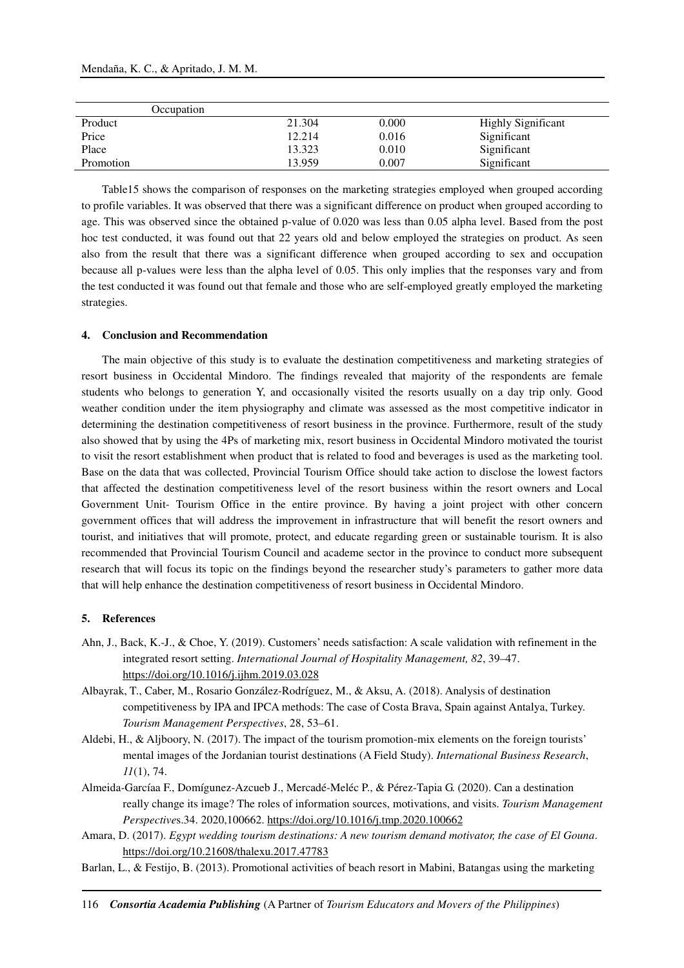|           | Occupation |        |       |                           |
|-----------|------------|--------|-------|---------------------------|
| Product   |            | 21.304 | 0.000 | <b>Highly Significant</b> |
| Price     |            | 12.214 | 0.016 | Significant               |
| Place     |            | 13.323 | 0.010 | Significant               |
| Promotion |            | 13.959 | 0.007 | Significant               |

Table15 shows the comparison of responses on the marketing strategies employed when grouped according to profile variables. It was observed that there was a significant difference on product when grouped according to age. This was observed since the obtained p-value of 0.020 was less than 0.05 alpha level. Based from the post hoc test conducted, it was found out that 22 years old and below employed the strategies on product. As seen also from the result that there was a significant difference when grouped according to sex and occupation because all p-values were less than the alpha level of 0.05. This only implies that the responses vary and from the test conducted it was found out that female and those who are self-employed greatly employed the marketing strategies.

## **4. Conclusion and Recommendation**

The main objective of this study is to evaluate the destination competitiveness and marketing strategies of resort business in Occidental Mindoro. The findings revealed that majority of the respondents are female students who belongs to generation Y, and occasionally visited the resorts usually on a day trip only. Good weather condition under the item physiography and climate was assessed as the most competitive indicator in determining the destination competitiveness of resort business in the province. Furthermore, result of the study also showed that by using the 4Ps of marketing mix, resort business in Occidental Mindoro motivated the tourist to visit the resort establishment when product that is related to food and beverages is used as the marketing tool. Base on the data that was collected, Provincial Tourism Office should take action to disclose the lowest factors that affected the destination competitiveness level of the resort business within the resort owners and Local Government Unit- Tourism Office in the entire province. By having a joint project with other concern government offices that will address the improvement in infrastructure that will benefit the resort owners and tourist, and initiatives that will promote, protect, and educate regarding green or sustainable tourism. It is also recommended that Provincial Tourism Council and academe sector in the province to conduct more subsequent research that will focus its topic on the findings beyond the researcher study's parameters to gather more data that will help enhance the destination competitiveness of resort business in Occidental Mindoro.

#### **5. References**

- Ahn, J., Back, K.-J., & Choe, Y. (2019). Customers' needs satisfaction: A scale validation with refinement in the integrated resort setting. *International Journal of Hospitality Management, 82*, 39–47. https://doi.org/10.1016/j.ijhm.2019.03.028
- Albayrak, T., Caber, M., Rosario González-Rodríguez, M., & Aksu, A. (2018). Analysis of destination competitiveness by IPA and IPCA methods: The case of Costa Brava, Spain against Antalya, Turkey. *Tourism Management Perspectives*, 28, 53–61.
- Aldebi, H., & Aljboory, N. (2017). The impact of the tourism promotion-mix elements on the foreign tourists' mental images of the Jordanian tourist destinations (A Field Study). *International Business Research*, *11*(1), 74.
- Almeida-Garcíaa F., Domígunez-Azcueb J., Mercadé-Meléc P., & Pérez-Tapia G. (2020). Can a destination really change its image? The roles of information sources, motivations, and visits. *Tourism Management Perspective*s.34. 2020,100662. https://doi.org/10.1016/j.tmp.2020.100662
- Amara, D. (2017). *Egypt wedding tourism destinations: A new tourism demand motivator, the case of El Gouna*. https://doi.org/10.21608/thalexu.2017.47783
- Barlan, L., & Festijo, B. (2013). Promotional activities of beach resort in Mabini, Batangas using the marketing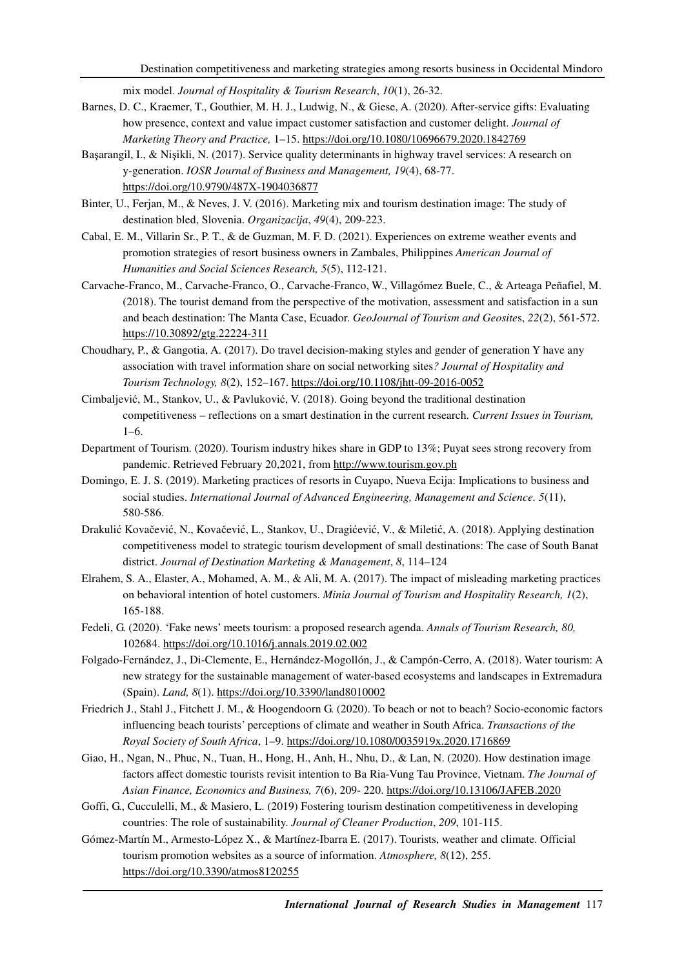mix model. *Journal of Hospitality & Tourism Research*, *10*(1), 26-32.

- Barnes, D. C., Kraemer, T., Gouthier, M. H. J., Ludwig, N., & Giese, A. (2020). After-service gifts: Evaluating how presence, context and value impact customer satisfaction and customer delight. *Journal of Marketing Theory and Practice,* 1–15. https://doi.org/10.1080/10696679.2020.1842769
- Başarangil, I., & Nişikli, N. (2017). Service quality determinants in highway travel services: A research on y-generation. *IOSR Journal of Business and Management, 19*(4), 68-77. https://doi.org/10.9790/487X-1904036877
- Binter, U., Ferjan, M., & Neves, J. V. (2016). Marketing mix and tourism destination image: The study of destination bled, Slovenia. *Organizacija*, *49*(4), 209-223.
- Cabal, E. M., Villarin Sr., P. T., & de Guzman, M. F. D. (2021). Experiences on extreme weather events and promotion strategies of resort business owners in Zambales, Philippines *American Journal of Humanities and Social Sciences Research, 5*(5), 112-121.
- Carvache-Franco, M., Carvache-Franco, O., Carvache-Franco, W., Villagómez Buele, C., & Arteaga Peñafiel, M. (2018). The tourist demand from the perspective of the motivation, assessment and satisfaction in a sun and beach destination: The Manta Case, Ecuador. *GeoJournal of Tourism and Geosite*s, *22*(2), 561-572. https://10.30892/gtg.22224-311
- Choudhary, P., & Gangotia, A. (2017). Do travel decision-making styles and gender of generation Y have any association with travel information share on social networking sites*? Journal of Hospitality and Tourism Technology, 8*(2), 152–167. https://doi.org/10.1108/jhtt-09-2016-0052
- Cimbaljević, M., Stankov, U., & Pavluković, V. (2018). Going beyond the traditional destination competitiveness – reflections on a smart destination in the current research. *Current Issues in Tourism,* 1–6.
- Department of Tourism. (2020). Tourism industry hikes share in GDP to 13%; Puyat sees strong recovery from pandemic. Retrieved February 20,2021, from http://www.tourism.gov.ph
- Domingo, E. J. S. (2019). Marketing practices of resorts in Cuyapo, Nueva Ecija: Implications to business and social studies. *International Journal of Advanced Engineering, Management and Science. 5*(11), 580-586.
- Drakulić Kovačević, N., Kovačević, L., Stankov, U., Dragićević, V., & Miletić, A. (2018). Applying destination competitiveness model to strategic tourism development of small destinations: The case of South Banat district. *Journal of Destination Marketing & Management*, *8*, 114–124
- Elrahem, S. A., Elaster, A., Mohamed, A. M., & Ali, M. A. (2017). The impact of misleading marketing practices on behavioral intention of hotel customers. *Minia Journal of Tourism and Hospitality Research, 1*(2), 165-188.
- Fedeli, G. (2020). 'Fake news' meets tourism: a proposed research agenda. *Annals of Tourism Research, 80,* 102684. https://doi.org/10.1016/j.annals.2019.02.002
- Folgado-Fernández, J., Di-Clemente, E., Hernández-Mogollón, J., & Campón-Cerro, A. (2018). Water tourism: A new strategy for the sustainable management of water-based ecosystems and landscapes in Extremadura (Spain). *Land, 8*(1). https://doi.org/10.3390/land8010002
- Friedrich J., Stahl J., Fitchett J. M., & Hoogendoorn G. (2020). To beach or not to beach? Socio-economic factors influencing beach tourists' perceptions of climate and weather in South Africa. *Transactions of the Royal Society of South Africa*, 1–9. https://doi.org/10.1080/0035919x.2020.1716869
- Giao, H., Ngan, N., Phuc, N., Tuan, H., Hong, H., Anh, H., Nhu, D., & Lan, N. (2020). How destination image factors affect domestic tourists revisit intention to Ba Ria-Vung Tau Province, Vietnam. *The Journal of Asian Finance, Economics and Business, 7*(6), 209- 220. https://doi.org/10.13106/JAFEB.2020
- Goffi, G., Cucculelli, M., & Masiero, L. (2019) Fostering tourism destination competitiveness in developing countries: The role of sustainability. *Journal of Cleaner Production*, *209*, 101-115.
- Gómez-Martín M., Armesto-López X., & Martínez-Ibarra E. (2017). Tourists, weather and climate. Official tourism promotion websites as a source of information. *Atmosphere, 8*(12), 255. https://doi.org/10.3390/atmos8120255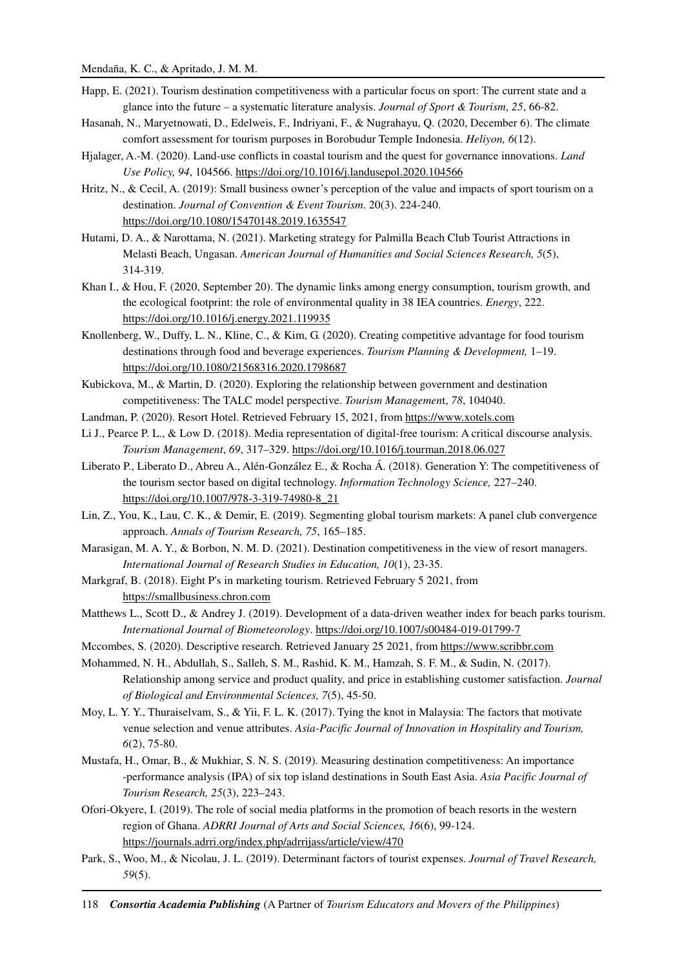- Happ, E. (2021). Tourism destination competitiveness with a particular focus on sport: The current state and a glance into the future – a systematic literature analysis. *Journal of Sport & Tourism*, *25*, 66-82.
- Hasanah, N., Maryetnowati, D., Edelweis, F., Indriyani, F., & Nugrahayu, Q. (2020, December 6). The climate comfort assessment for tourism purposes in Borobudur Temple Indonesia. *Heliyon, 6*(12).
- Hjalager, A.-M. (2020). Land-use conflicts in coastal tourism and the quest for governance innovations. *Land Use Policy, 94*, 104566. https://doi.org/10.1016/j.landusepol.2020.104566
- Hritz, N., & Cecil, A. (2019): Small business owner's perception of the value and impacts of sport tourism on a destination. *Journal of Convention & Event Tourism*. 20(3). 224-240. https://doi.org/10.1080/15470148.2019.1635547
- Hutami, D. A., & Narottama, N. (2021). Marketing strategy for Palmilla Beach Club Tourist Attractions in Melasti Beach, Ungasan. *American Journal of Humanities and Social Sciences Research, 5*(5), 314-319.
- Khan I., & Hou, F. (2020, September 20). The dynamic links among energy consumption, tourism growth, and the ecological footprint: the role of environmental quality in 38 IEA countries. *Energy*, 222. https://doi.org/10.1016/j.energy.2021.119935
- Knollenberg, W., Duffy, L. N., Kline, C., & Kim, G. (2020). Creating competitive advantage for food tourism destinations through food and beverage experiences. *Tourism Planning & Development,* 1–19. https://doi.org/10.1080/21568316.2020.1798687
- Kubickova, M., & Martin, D. (2020). Exploring the relationship between government and destination competitiveness: The TALC model perspective. *Tourism Managemen*t, *78*, 104040.
- Landman, P. (2020). Resort Hotel. Retrieved February 15, 2021, from https://www.xotels.com
- Li J., Pearce P. L., & Low D. (2018). Media representation of digital-free tourism: A critical discourse analysis. *Tourism Management*, *69*, 317–329. https://doi.org/10.1016/j.tourman.2018.06.027
- Liberato P., Liberato D., Abreu A., Alén-González E., & Rocha Á. (2018). Generation Y: The competitiveness of the tourism sector based on digital technology. *Information Technology Science,* 227–240. https://doi.org/10.1007/978-3-319-74980-8\_21
- Lin, Z., You, K., Lau, C. K., & Demir, E. (2019). Segmenting global tourism markets: A panel club convergence approach. *Annals of Tourism Research, 75*, 165–185.
- Marasigan, M. A. Y., & Borbon, N. M. D. (2021). Destination competitiveness in the view of resort managers. *International Journal of Research Studies in Education, 10*(1), 23-35.
- Markgraf, B. (2018). Eight P's in marketing tourism. Retrieved February 5 2021, from https://smallbusiness.chron.com
- Matthews L., Scott D., & Andrey J. (2019). Development of a data-driven weather index for beach parks tourism. *International Journal of Biometeorology*. https://doi.org/10.1007/s00484-019-01799-7
- Mccombes, S. (2020). Descriptive research. Retrieved January 25 2021, from https://www.scribbr.com
- Mohammed, N. H., Abdullah, S., Salleh, S. M., Rashid, K. M., Hamzah, S. F. M., & Sudin, N. (2017). Relationship among service and product quality, and price in establishing customer satisfaction. *Journal of Biological and Environmental Sciences, 7*(5), 45-50.
- Moy, L. Y. Y., Thuraiselvam, S., & Yii, F. L. K. (2017). Tying the knot in Malaysia: The factors that motivate venue selection and venue attributes. *Asia-Pacific Journal of Innovation in Hospitality and Tourism, 6*(2), 75-80.
- Mustafa, H., Omar, B., & Mukhiar, S. N. S. (2019). Measuring destination competitiveness: An importance -performance analysis (IPA) of six top island destinations in South East Asia. *Asia Pacific Journal of Tourism Research, 25*(3), 223–243.
- Ofori-Okyere, I. (2019). The role of social media platforms in the promotion of beach resorts in the western region of Ghana. *ADRRI Journal of Arts and Social Sciences, 16*(6), 99-124. https://journals.adrri.org/index.php/adrrijass/article/view/470
- Park, S., Woo, M., & Nicolau, J. L. (2019). Determinant factors of tourist expenses. *Journal of Travel Research, 59*(5).

118 *Consortia Academia Publishing* (A Partner of *Tourism Educators and Movers of the Philippines*)